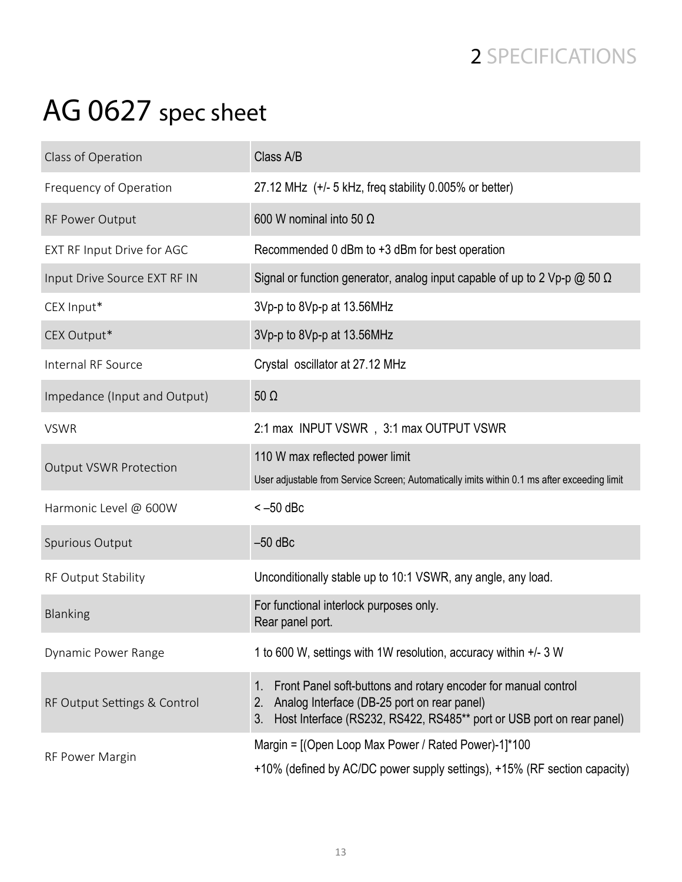## 2 SPECIFICATIONS

## AG 0627 spec sheet

| Class of Operation            | Class A/B                                                                                                                                                                                                            |
|-------------------------------|----------------------------------------------------------------------------------------------------------------------------------------------------------------------------------------------------------------------|
| Frequency of Operation        | 27.12 MHz (+/- 5 kHz, freq stability 0.005% or better)                                                                                                                                                               |
| RF Power Output               | 600 W nominal into 50 $\Omega$                                                                                                                                                                                       |
| EXT RF Input Drive for AGC    | Recommended 0 dBm to +3 dBm for best operation                                                                                                                                                                       |
| Input Drive Source EXT RF IN  | Signal or function generator, analog input capable of up to 2 Vp-p $\omega$ 50 $\Omega$                                                                                                                              |
| CEX Input*                    | 3Vp-p to 8Vp-p at 13.56MHz                                                                                                                                                                                           |
| CEX Output*                   | 3Vp-p to 8Vp-p at 13.56MHz                                                                                                                                                                                           |
| Internal RF Source            | Crystal oscillator at 27.12 MHz                                                                                                                                                                                      |
| Impedance (Input and Output)  | $50 \Omega$                                                                                                                                                                                                          |
| <b>VSWR</b>                   | 2:1 max INPUT VSWR, 3:1 max OUTPUT VSWR                                                                                                                                                                              |
| <b>Output VSWR Protection</b> | 110 W max reflected power limit<br>User adjustable from Service Screen; Automatically imits within 0.1 ms after exceeding limit                                                                                      |
| Harmonic Level @ 600W         | $<-50$ dBc                                                                                                                                                                                                           |
| Spurious Output               | $-50$ dBc                                                                                                                                                                                                            |
| RF Output Stability           | Unconditionally stable up to 10:1 VSWR, any angle, any load.                                                                                                                                                         |
| Blanking                      | For functional interlock purposes only.<br>Rear panel port.                                                                                                                                                          |
| Dynamic Power Range           | 1 to 600 W, settings with 1W resolution, accuracy within +/- 3 W                                                                                                                                                     |
| RF Output Settings & Control  | Front Panel soft-buttons and rotary encoder for manual control<br>1 <sub>1</sub><br>Analog Interface (DB-25 port on rear panel)<br>2.<br>Host Interface (RS232, RS422, RS485** port or USB port on rear panel)<br>3. |
| RF Power Margin               | Margin = [(Open Loop Max Power / Rated Power)-1]*100<br>+10% (defined by AC/DC power supply settings), +15% (RF section capacity)                                                                                    |